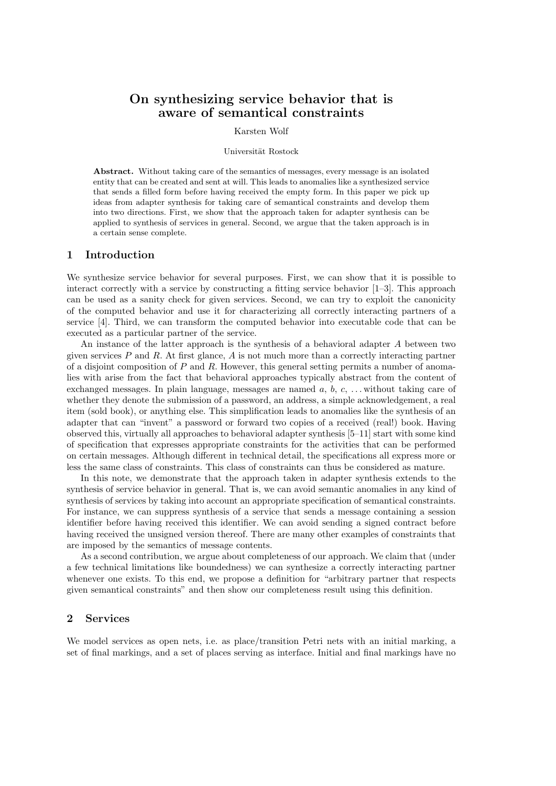# On synthesizing service behavior that is aware of semantical constraints

## Karsten Wolf

#### Universität Rostock

Abstract. Without taking care of the semantics of messages, every message is an isolated entity that can be created and sent at will. This leads to anomalies like a synthesized service that sends a filled form before having received the empty form. In this paper we pick up ideas from adapter synthesis for taking care of semantical constraints and develop them into two directions. First, we show that the approach taken for adapter synthesis can be applied to synthesis of services in general. Second, we argue that the taken approach is in a certain sense complete.

#### 1 Introduction

We synthesize service behavior for several purposes. First, we can show that it is possible to interact correctly with a service by constructing a fitting service behavior [1–3]. This approach can be used as a sanity check for given services. Second, we can try to exploit the canonicity of the computed behavior and use it for characterizing all correctly interacting partners of a service [4]. Third, we can transform the computed behavior into executable code that can be executed as a particular partner of the service.

An instance of the latter approach is the synthesis of a behavioral adapter A between two given services  $P$  and  $R$ . At first glance,  $A$  is not much more than a correctly interacting partner of a disjoint composition of  $P$  and  $R$ . However, this general setting permits a number of anomalies with arise from the fact that behavioral approaches typically abstract from the content of exchanged messages. In plain language, messages are named  $a, b, c, \ldots$  without taking care of whether they denote the submission of a password, an address, a simple acknowledgement, a real item (sold book), or anything else. This simplification leads to anomalies like the synthesis of an adapter that can "invent" a password or forward two copies of a received (real!) book. Having observed this, virtually all approaches to behavioral adapter synthesis [5–11] start with some kind of specification that expresses appropriate constraints for the activities that can be performed on certain messages. Although different in technical detail, the specifications all express more or less the same class of constraints. This class of constraints can thus be considered as mature.

In this note, we demonstrate that the approach taken in adapter synthesis extends to the synthesis of service behavior in general. That is, we can avoid semantic anomalies in any kind of synthesis of services by taking into account an appropriate specification of semantical constraints. For instance, we can suppress synthesis of a service that sends a message containing a session identifier before having received this identifier. We can avoid sending a signed contract before having received the unsigned version thereof. There are many other examples of constraints that are imposed by the semantics of message contents.

As a second contribution, we argue about completeness of our approach. We claim that (under a few technical limitations like boundedness) we can synthesize a correctly interacting partner whenever one exists. To this end, we propose a definition for "arbitrary partner that respects given semantical constraints" and then show our completeness result using this definition.

# 2 Services

We model services as open nets, i.e. as place/transition Petri nets with an initial marking, a set of final markings, and a set of places serving as interface. Initial and final markings have no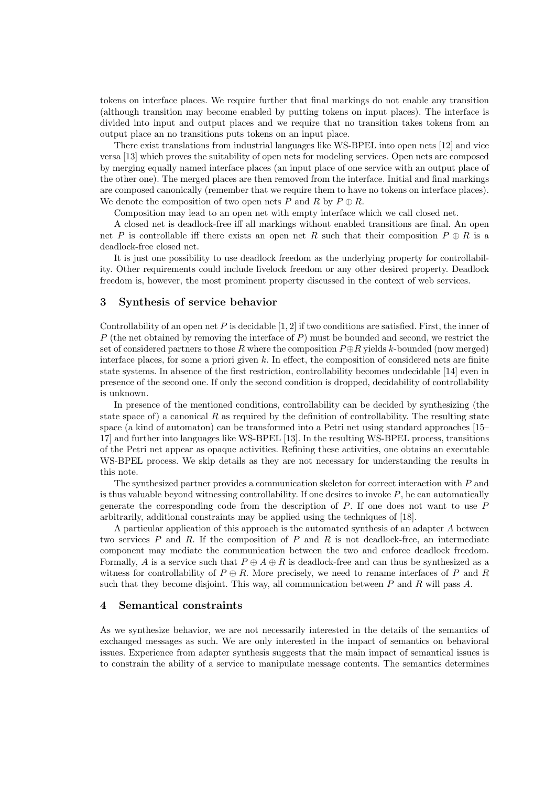tokens on interface places. We require further that final markings do not enable any transition (although transition may become enabled by putting tokens on input places). The interface is divided into input and output places and we require that no transition takes tokens from an output place an no transitions puts tokens on an input place.

There exist translations from industrial languages like WS-BPEL into open nets [12] and vice versa [13] which proves the suitability of open nets for modeling services. Open nets are composed by merging equally named interface places (an input place of one service with an output place of the other one). The merged places are then removed from the interface. Initial and final markings are composed canonically (remember that we require them to have no tokens on interface places). We denote the composition of two open nets P and R by  $P \oplus R$ .

Composition may lead to an open net with empty interface which we call closed net.

A closed net is deadlock-free iff all markings without enabled transitions are final. An open net P is controllable iff there exists an open net R such that their composition  $P \oplus R$  is a deadlock-free closed net.

It is just one possibility to use deadlock freedom as the underlying property for controllability. Other requirements could include livelock freedom or any other desired property. Deadlock freedom is, however, the most prominent property discussed in the context of web services.

# 3 Synthesis of service behavior

Controllability of an open net  $P$  is decidable [1, 2] if two conditions are satisfied. First, the inner of P (the net obtained by removing the interface of  $P$ ) must be bounded and second, we restrict the set of considered partners to those R where the composition  $P \oplus R$  yields k-bounded (now merged) interface places, for some a priori given  $k$ . In effect, the composition of considered nets are finite state systems. In absence of the first restriction, controllability becomes undecidable [14] even in presence of the second one. If only the second condition is dropped, decidability of controllability is unknown.

In presence of the mentioned conditions, controllability can be decided by synthesizing (the state space of) a canonical R as required by the definition of controllability. The resulting state space (a kind of automaton) can be transformed into a Petri net using standard approaches [15– 17] and further into languages like WS-BPEL [13]. In the resulting WS-BPEL process, transitions of the Petri net appear as opaque activities. Refining these activities, one obtains an executable WS-BPEL process. We skip details as they are not necessary for understanding the results in this note.

The synthesized partner provides a communication skeleton for correct interaction with P and is thus valuable beyond witnessing controllability. If one desires to invoke  $P$ , he can automatically generate the corresponding code from the description of  $P$ . If one does not want to use  $P$ arbitrarily, additional constraints may be applied using the techniques of [18].

A particular application of this approach is the automated synthesis of an adapter A between two services  $P$  and  $R$ . If the composition of  $P$  and  $R$  is not deadlock-free, an intermediate component may mediate the communication between the two and enforce deadlock freedom. Formally, A is a service such that  $P \oplus A \oplus R$  is deadlock-free and can thus be synthesized as a witness for controllability of  $P \oplus R$ . More precisely, we need to rename interfaces of P and R such that they become disjoint. This way, all communication between  $P$  and  $R$  will pass  $A$ .

#### 4 Semantical constraints

As we synthesize behavior, we are not necessarily interested in the details of the semantics of exchanged messages as such. We are only interested in the impact of semantics on behavioral issues. Experience from adapter synthesis suggests that the main impact of semantical issues is to constrain the ability of a service to manipulate message contents. The semantics determines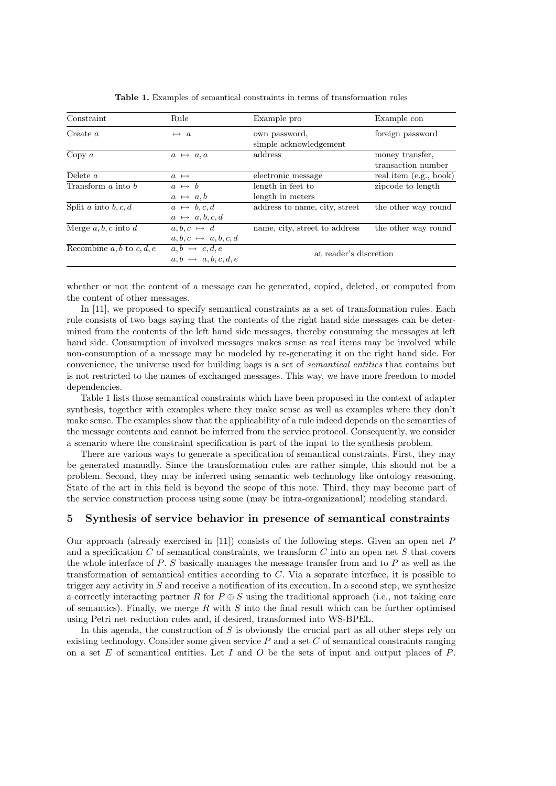| Constraint                    | Rule                         | Example pro                   | Example con            |
|-------------------------------|------------------------------|-------------------------------|------------------------|
| Create $a$                    | $\mapsto a$                  | own password,                 | foreign password       |
|                               |                              | simple acknowledgement        |                        |
| Copy $a$                      | $a \mapsto a, a$             | address                       | money transfer,        |
|                               |                              |                               | transaction number     |
| Delete $a$                    | $a \mapsto$                  | electronic message            | real item (e.g., book) |
| Transform $a$ into $b$        | $a \mapsto b$                | length in feet to             | zipcode to length      |
|                               | $a \mapsto a,b$              | length in meters              |                        |
| Split a into b, c, d          | $a \mapsto b, c, d$          | address to name, city, street | the other way round    |
|                               | $a \mapsto a, b, c, d$       |                               |                        |
| Merge $a, b, c$ into d        | $a, b, c \mapsto d$          | name, city, street to address | the other way round    |
|                               | $a, b, c \mapsto a, b, c, d$ |                               |                        |
| Recombine $a, b$ to $c, d, e$ | $a, b \mapsto c, d, e$       | at reader's discretion        |                        |
|                               | $a, b \mapsto a, b, c, d, e$ |                               |                        |

Table 1. Examples of semantical constraints in terms of transformation rules

whether or not the content of a message can be generated, copied, deleted, or computed from the content of other messages.

In [11], we proposed to specify semantical constraints as a set of transformation rules. Each rule consists of two bags saying that the contents of the right hand side messages can be determined from the contents of the left hand side messages, thereby consuming the messages at left hand side. Consumption of involved messages makes sense as real items may be involved while non-consumption of a message may be modeled by re-generating it on the right hand side. For convenience, the universe used for building bags is a set of semantical entities that contains but is not restricted to the names of exchanged messages. This way, we have more freedom to model dependencies.

Table 1 lists those semantical constraints which have been proposed in the context of adapter synthesis, together with examples where they make sense as well as examples where they don't make sense. The examples show that the applicability of a rule indeed depends on the semantics of the message contents and cannot be inferred from the service protocol. Consequently, we consider a scenario where the constraint specification is part of the input to the synthesis problem.

There are various ways to generate a specification of semantical constraints. First, they may be generated manually. Since the transformation rules are rather simple, this should not be a problem. Second, they may be inferred using semantic web technology like ontology reasoning. State of the art in this field is beyond the scope of this note. Third, they may become part of the service construction process using some (may be intra-organizational) modeling standard.

# 5 Synthesis of service behavior in presence of semantical constraints

Our approach (already exercised in [11]) consists of the following steps. Given an open net  $P$ and a specification C of semantical constraints, we transform C into an open net S that covers the whole interface of  $P$ . S basically manages the message transfer from and to  $P$  as well as the transformation of semantical entities according to  $C$ . Via a separate interface, it is possible to trigger any activity in S and receive a notification of its execution. In a second step, we synthesize a correctly interacting partner R for  $P \oplus S$  using the traditional approach (i.e., not taking care of semantics). Finally, we merge  $R$  with  $S$  into the final result which can be further optimised using Petri net reduction rules and, if desired, transformed into WS-BPEL.

In this agenda, the construction of  $S$  is obviously the crucial part as all other steps rely on existing technology. Consider some given service  $P$  and a set  $C$  of semantical constraints ranging on a set  $E$  of semantical entities. Let  $I$  and  $O$  be the sets of input and output places of  $P$ .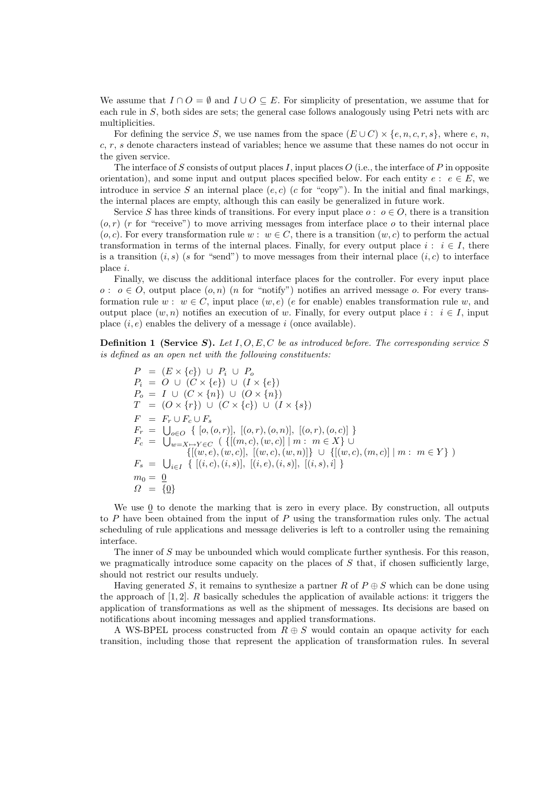We assume that  $I \cap O = \emptyset$  and  $I \cup O \subseteq E$ . For simplicity of presentation, we assume that for each rule in S, both sides are sets; the general case follows analogously using Petri nets with arc multiplicities.

For defining the service S, we use names from the space  $(E \cup C) \times \{e, n, c, r, s\}$ , where e, n, c, r, s denote characters instead of variables; hence we assume that these names do not occur in the given service.

The interface of S consists of output places I, input places  $O$  (i.e., the interface of P in opposite orientation), and some input and output places specified below. For each entity  $e : e \in E$ , we introduce in service S an internal place  $(e, c)$  (c for "copy"). In the initial and final markings, the internal places are empty, although this can easily be generalized in future work.

Service S has three kinds of transitions. For every input place  $o : o \in O$ , there is a transition  $(o, r)$  (r for "receive") to move arriving messages from interface place o to their internal place  $(o, c)$ . For every transformation rule  $w : w \in C$ , there is a transition  $(w, c)$  to perform the actual transformation in terms of the internal places. Finally, for every output place  $i : i \in I$ , there is a transition  $(i, s)$  (s for "send") to move messages from their internal place  $(i, c)$  to interface place i.

Finally, we discuss the additional interface places for the controller. For every input place  $o: o ∈ O$ , output place  $(o, n)$  (n for "notify") notifies an arrived message o. For every transformation rule  $w : w \in C$ , input place  $(w, e)$  (e for enable) enables transformation rule w, and output place  $(w, n)$  notifies an execution of w. Finally, for every output place  $i : i \in I$ , input place  $(i, e)$  enables the delivery of a message i (once available).

**Definition 1 (Service S).** Let  $I, O, E, C$  be as introduced before. The corresponding service S is defined as an open net with the following constituents:

 $P = (E \times \{c\}) \cup P_i \cup P_o$  $P_i = O \cup (C \times \{e\}) \cup (I \times \{e\})$  $P_o = I \cup (C \times \{n\}) \cup (O \times \{n\})$  $T = (O \times \{r\}) \cup (C \times \{c\}) \cup (I \times \{s\})$  $F = F_r \cup F_c \cup F_s$  $F_r = \bigcup_{o \in O} \{ [o, (o, r)], [ (o, r), (o, n)], [ (o, r), (o, c) ] \}$  $F_c = \bigcup_{w=X \mapsto Y \in C} (\{[(m, c), (w, c)] \mid m : m \in X\} \cup$  $\{[(w, e), (w, c)], [(w, c), (w, n)]\} \cup \{[(w, c), (m, c)] \mid m : m \in Y\}$  $F_s = \bigcup_{i \in I} \{ [(i, c), (i, s)], [(i, e), (i, s)], [(i, s), i] \}$  $m_0 = 0$  $\Omega = \{0\}$ 

We use 0 to denote the marking that is zero in every place. By construction, all outputs to  $P$  have been obtained from the input of  $P$  using the transformation rules only. The actual scheduling of rule applications and message deliveries is left to a controller using the remaining interface.

The inner of S may be unbounded which would complicate further synthesis. For this reason, we pragmatically introduce some capacity on the places of  $S$  that, if chosen sufficiently large, should not restrict our results unduely.

Having generated S, it remains to synthesize a partner R of  $P \oplus S$  which can be done using the approach of  $[1, 2]$ . R basically schedules the application of available actions: it triggers the application of transformations as well as the shipment of messages. Its decisions are based on notifications about incoming messages and applied transformations.

A WS-BPEL process constructed from  $R \oplus S$  would contain an opaque activity for each transition, including those that represent the application of transformation rules. In several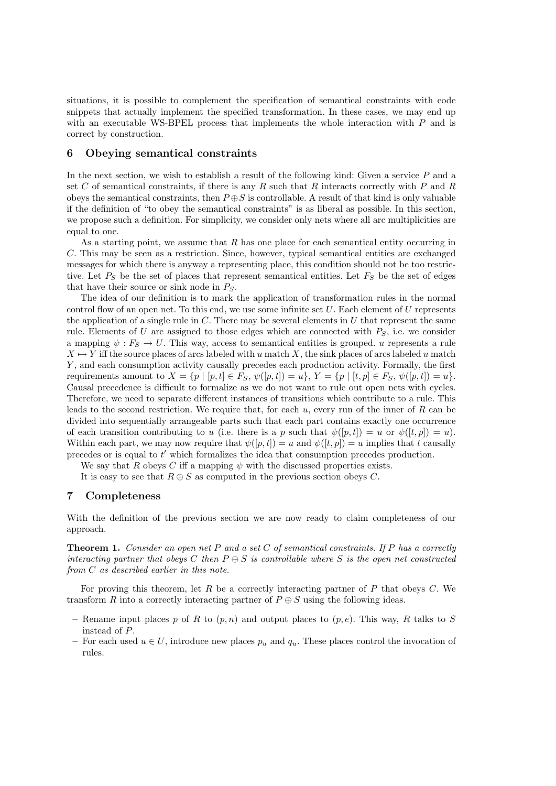situations, it is possible to complement the specification of semantical constraints with code snippets that actually implement the specified transformation. In these cases, we may end up with an executable WS-BPEL process that implements the whole interaction with  $P$  and is correct by construction.

#### 6 Obeying semantical constraints

In the next section, we wish to establish a result of the following kind: Given a service P and a set C of semantical constraints, if there is any R such that R interacts correctly with P and R obeys the semantical constraints, then  $P \oplus S$  is controllable. A result of that kind is only valuable if the definition of "to obey the semantical constraints" is as liberal as possible. In this section, we propose such a definition. For simplicity, we consider only nets where all arc multiplicities are equal to one.

As a starting point, we assume that  $R$  has one place for each semantical entity occurring in C. This may be seen as a restriction. Since, however, typical semantical entities are exchanged messages for which there is anyway a representing place, this condition should not be too restrictive. Let  $P_S$  be the set of places that represent semantical entities. Let  $F_S$  be the set of edges that have their source or sink node in  $P<sub>S</sub>$ .

The idea of our definition is to mark the application of transformation rules in the normal control flow of an open net. To this end, we use some infinite set  $U$ . Each element of  $U$  represents the application of a single rule in  $C$ . There may be several elements in  $U$  that represent the same rule. Elements of U are assigned to those edges which are connected with  $P<sub>S</sub>$ , i.e. we consider a mapping  $\psi : F_S \to U$ . This way, access to semantical entities is grouped. u represents a rule  $X \mapsto Y$  iff the source places of arcs labeled with u match X, the sink places of arcs labeled u match Y , and each consumption activity causally precedes each production activity. Formally, the first requirements amount to  $X = \{p \mid [p, t] \in F_S, \psi([p, t]) = u\}, Y = \{p \mid [t, p] \in F_S, \psi([p, t]) = u\}.$ Causal precedence is difficult to formalize as we do not want to rule out open nets with cycles. Therefore, we need to separate different instances of transitions which contribute to a rule. This leads to the second restriction. We require that, for each  $u$ , every run of the inner of  $R$  can be divided into sequentially arrangeable parts such that each part contains exactly one occurrence of each transition contributing to u (i.e. there is a p such that  $\psi([p, t]) = u$  or  $\psi([t, p]) = u$ ). Within each part, we may now require that  $\psi([p, t]) = u$  and  $\psi([t, p]) = u$  implies that t causally precedes or is equal to  $t'$  which formalizes the idea that consumption precedes production.

We say that R obeys C iff a mapping  $\psi$  with the discussed properties exists.

It is easy to see that  $R \oplus S$  as computed in the previous section obeys C.

## 7 Completeness

With the definition of the previous section we are now ready to claim completeness of our approach.

**Theorem 1.** Consider an open net P and a set C of semantical constraints. If P has a correctly interacting partner that obeys C then  $P \oplus S$  is controllable where S is the open net constructed from C as described earlier in this note.

For proving this theorem, let R be a correctly interacting partner of P that obeys  $C$ . We transform R into a correctly interacting partner of  $P \oplus S$  using the following ideas.

- Rename input places p of R to  $(p, n)$  and output places to  $(p, e)$ . This way, R talks to S instead of P.
- For each used  $u \in U$ , introduce new places  $p_u$  and  $q_u$ . These places control the invocation of rules.